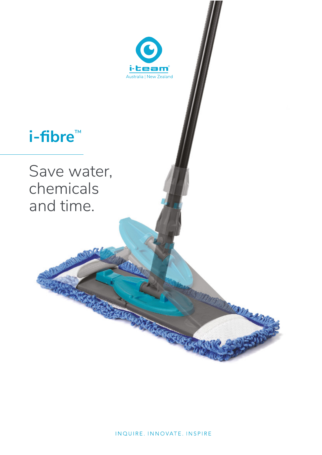

# i-fibre<sup>™</sup>

Save water, chemicals and time.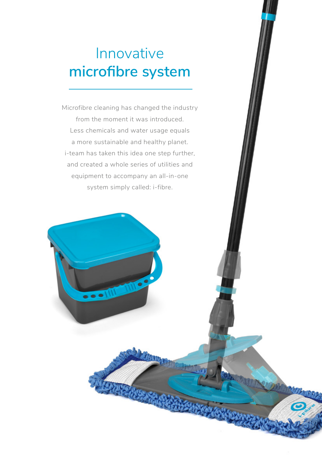# Innovative **microfibre system**

Microfibre cleaning has changed the industry from the moment it was introduced. Less chemicals and water usage equals a more sustainable and healthy planet. i-team has taken this idea one step further, and created a whole series of utilities and equipment to accompany an all-in-one system simply called: i-fibre.

 $\bullet \bullet$   $\blacksquare$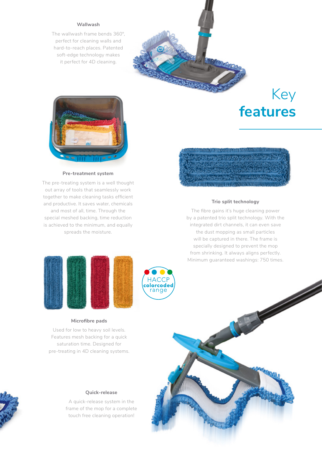#### **Wallwash**

The wallwash frame bends 360°, perfect for cleaning walls and hard-to-reach places. Patented soft-edge technology makes it perfect for 4D cleaning.

## Key **features**



#### **Pre-treatment system**

The pre-treating system is a well thought out array of tools that seamlessly work together to make cleaning tasks efficient and productive. It saves water, chemicals and most of all, time. Through the special meshed backing, time reduction is achieved to the minimum, and equally spreads the moisture.



#### **Trio split technology**

The fibre gains it's huge cleaning power by a patented trio split technology. With the integrated dirt channels, it can even save the dust mopping as small particles will be captured in there. The frame is specially designed to prevent the mop from shrinking. It always aligns perfectly. Minimum guaranteed washings: 750 times.





cleaning operation

#### **Microfibre pads**

Used for low to heavy soil levels. Features mesh backing for a quick saturation time. Designed for pre-treating in 4D cleaning systems.



#### **Quick-release**

A quick-release system in the frame of the mop for a complete touch free cleaning operation!